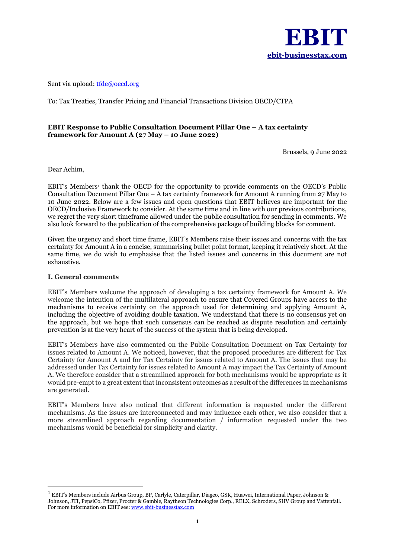

Sent via upload[: tfde@oecd.org](mailto:tfde@oecd.org)

To: Tax Treaties, Transfer Pricing and Financial Transactions Division OECD/CTPA

## **EBIT Response to Public Consultation Document Pillar One – A tax certainty framework for Amount A (27 May – 10 June 2022)**

Brussels, 9 June 2022

Dear Achim,

EBIT's Members<sup>1</sup> thank the OECD for the opportunity to provide comments on the OECD's Public Consultation Document Pillar One – A tax certainty framework for Amount A running from 27 May to 10 June 2022. Below are a few issues and open questions that EBIT believes are important for the OECD/Inclusive Framework to consider. At the same time and in line with our previous contributions, we regret the very short timeframe allowed under the public consultation for sending in comments. We also look forward to the publication of the comprehensive package of building blocks for comment.

Given the urgency and short time frame, EBIT's Members raise their issues and concerns with the tax certainty for Amount A in a concise, summarising bullet point format, keeping it relatively short. At the same time, we do wish to emphasise that the listed issues and concerns in this document are not exhaustive.

### **I. General comments**

EBIT's Members welcome the approach of developing a tax certainty framework for Amount A. We welcome the intention of the multilateral approach to ensure that Covered Groups have access to the mechanisms to receive certainty on the approach used for determining and applying Amount A, including the objective of avoiding double taxation. We understand that there is no consensus yet on the approach, but we hope that such consensus can be reached as dispute resolution and certainly prevention is at the very heart of the success of the system that is being developed.

EBIT's Members have also commented on the Public Consultation Document on Tax Certainty for issues related to Amount A. We noticed, however, that the proposed procedures are different for Tax Certainty for Amount A and for Tax Certainty for issues related to Amount A. The issues that may be addressed under Tax Certainty for issues related to Amount A may impact the Tax Certainty of Amount A. We therefore consider that a streamlined approach for both mechanisms would be appropriate as it would pre-empt to a great extent that inconsistent outcomes as a result of the differences in mechanisms are generated.

EBIT's Members have also noticed that different information is requested under the different mechanisms. As the issues are interconnected and may influence each other, we also consider that a more streamlined approach regarding documentation / information requested under the two mechanisms would be beneficial for simplicity and clarity.

<sup>&</sup>lt;sup>1</sup> EBIT's Members include Airbus Group, BP, Carlyle, Caterpillar, Diageo, GSK, Huawei, International Paper, Johnson & Johnson, JTI, PepsiCo, Pfizer, Procter & Gamble, Raytheon Technologies Corp., RELX, Schroders, SHV Group and Vattenfall. For more information on EBIT see[: www.ebit-businesstax.com](http://www.ebit-businesstax.com/)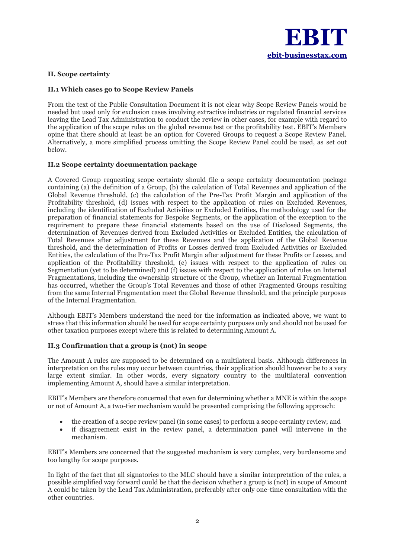

## **II. Scope certainty**

## **II.1 Which cases go to Scope Review Panels**

From the text of the Public Consultation Document it is not clear why Scope Review Panels would be needed but used only for exclusion cases involving extractive industries or regulated financial services leaving the Lead Tax Administration to conduct the review in other cases, for example with regard to the application of the scope rules on the global revenue test or the profitability test. EBIT's Members opine that there should at least be an option for Covered Groups to request a Scope Review Panel. Alternatively, a more simplified process omitting the Scope Review Panel could be used, as set out below.

## **II.2 Scope certainty documentation package**

A Covered Group requesting scope certainty should file a scope certainty documentation package containing (a) the definition of a Group, (b) the calculation of Total Revenues and application of the Global Revenue threshold, (c) the calculation of the Pre-Tax Profit Margin and application of the Profitability threshold, (d) issues with respect to the application of rules on Excluded Revenues, including the identification of Excluded Activities or Excluded Entities, the methodology used for the preparation of financial statements for Bespoke Segments, or the application of the exception to the requirement to prepare these financial statements based on the use of Disclosed Segments, the determination of Revenues derived from Excluded Activities or Excluded Entities, the calculation of Total Revenues after adjustment for these Revenues and the application of the Global Revenue threshold, and the determination of Profits or Losses derived from Excluded Activities or Excluded Entities, the calculation of the Pre-Tax Profit Margin after adjustment for these Profits or Losses, and application of the Profitability threshold, (e) issues with respect to the application of rules on Segmentation (yet to be determined) and (f) issues with respect to the application of rules on Internal Fragmentations, including the ownership structure of the Group, whether an Internal Fragmentation has occurred, whether the Group's Total Revenues and those of other Fragmented Groups resulting from the same Internal Fragmentation meet the Global Revenue threshold, and the principle purposes of the Internal Fragmentation.

Although EBIT's Members understand the need for the information as indicated above, we want to stress that this information should be used for scope certainty purposes only and should not be used for other taxation purposes except where this is related to determining Amount A.

### **II.3 Confirmation that a group is (not) in scope**

The Amount A rules are supposed to be determined on a multilateral basis. Although differences in interpretation on the rules may occur between countries, their application should however be to a very large extent similar. In other words, every signatory country to the multilateral convention implementing Amount A, should have a similar interpretation.

EBIT's Members are therefore concerned that even for determining whether a MNE is within the scope or not of Amount A, a two-tier mechanism would be presented comprising the following approach:

- the creation of a scope review panel (in some cases) to perform a scope certainty review; and
- if disagreement exist in the review panel, a determination panel will intervene in the mechanism.

EBIT's Members are concerned that the suggested mechanism is very complex, very burdensome and too lengthy for scope purposes.

In light of the fact that all signatories to the MLC should have a similar interpretation of the rules, a possible simplified way forward could be that the decision whether a group is (not) in scope of Amount A could be taken by the Lead Tax Administration, preferably after only one-time consultation with the other countries.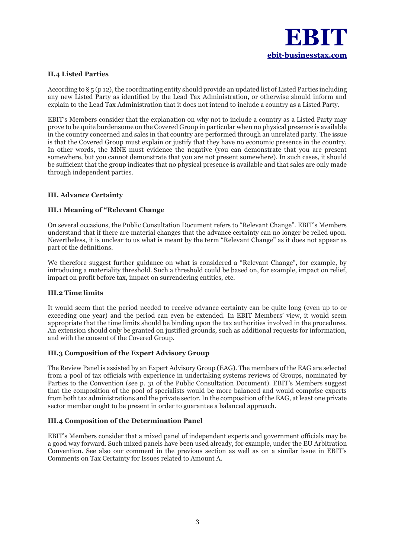

# **II.4 Listed Parties**

According to § 5 (p 12), the coordinating entity should provide an updated list of Listed Parties including any new Listed Party as identified by the Lead Tax Administration, or otherwise should inform and explain to the Lead Tax Administration that it does not intend to include a country as a Listed Party.

EBIT's Members consider that the explanation on why not to include a country as a Listed Party may prove to be quite burdensome on the Covered Group in particular when no physical presence is available in the country concerned and sales in that country are performed through an unrelated party. The issue is that the Covered Group must explain or justify that they have no economic presence in the country. In other words, the MNE must evidence the negative (you can demonstrate that you are present somewhere, but you cannot demonstrate that you are not present somewhere). In such cases, it should be sufficient that the group indicates that no physical presence is available and that sales are only made through independent parties.

## **III. Advance Certainty**

### **III.1 Meaning of "Relevant Change**

On several occasions, the Public Consultation Document refers to "Relevant Change". EBIT's Members understand that if there are material changes that the advance certainty can no longer be relied upon. Nevertheless, it is unclear to us what is meant by the term "Relevant Change" as it does not appear as part of the definitions.

We therefore suggest further guidance on what is considered a "Relevant Change", for example, by introducing a materiality threshold. Such a threshold could be based on, for example, impact on relief, impact on profit before tax, impact on surrendering entities, etc.

### **III.2 Time limits**

It would seem that the period needed to receive advance certainty can be quite long (even up to or exceeding one year) and the period can even be extended. In EBIT Members' view, it would seem appropriate that the time limits should be binding upon the tax authorities involved in the procedures. An extension should only be granted on justified grounds, such as additional requests for information, and with the consent of the Covered Group.

### **III.3 Composition of the Expert Advisory Group**

The Review Panel is assisted by an Expert Advisory Group (EAG). The members of the EAG are selected from a pool of tax officials with experience in undertaking systems reviews of Groups, nominated by Parties to the Convention (see p. 31 of the Public Consultation Document). EBIT's Members suggest that the composition of the pool of specialists would be more balanced and would comprise experts from both tax administrations and the private sector. In the composition of the EAG, at least one private sector member ought to be present in order to guarantee a balanced approach.

# **III.4 Composition of the Determination Panel**

EBIT's Members consider that a mixed panel of independent experts and government officials may be a good way forward. Such mixed panels have been used already, for example, under the EU Arbitration Convention. See also our comment in the previous section as well as on a similar issue in EBIT's Comments on Tax Certainty for Issues related to Amount A.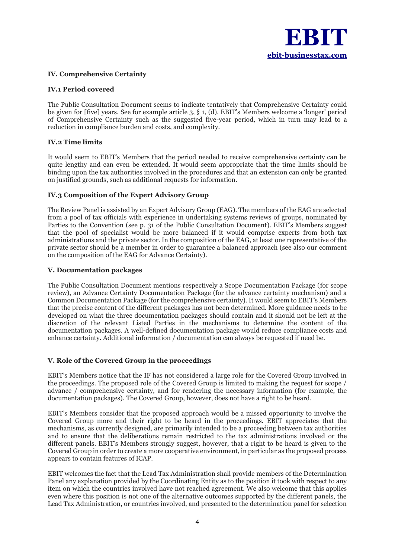

## **IV. Comprehensive Certainty**

### **IV.1 Period covered**

The Public Consultation Document seems to indicate tentatively that Comprehensive Certainty could be given for [five] years. See for example article 3, § 1, (d). EBIT's Members welcome a 'longer' period of Comprehensive Certainty such as the suggested five-year period, which in turn may lead to a reduction in compliance burden and costs, and complexity.

### **IV.2 Time limits**

It would seem to EBIT's Members that the period needed to receive comprehensive certainty can be quite lengthy and can even be extended. It would seem appropriate that the time limits should be binding upon the tax authorities involved in the procedures and that an extension can only be granted on justified grounds, such as additional requests for information.

## **IV.3 Composition of the Expert Advisory Group**

The Review Panel is assisted by an Expert Advisory Group (EAG). The members of the EAG are selected from a pool of tax officials with experience in undertaking systems reviews of groups, nominated by Parties to the Convention (see p. 31 of the Public Consultation Document). EBIT's Members suggest that the pool of specialist would be more balanced if it would comprise experts from both tax administrations and the private sector. In the composition of the EAG, at least one representative of the private sector should be a member in order to guarantee a balanced approach (see also our comment on the composition of the EAG for Advance Certainty).

## **V. Documentation packages**

The Public Consultation Document mentions respectively a Scope Documentation Package (for scope review), an Advance Certainty Documentation Package (for the advance certainty mechanism) and a Common Documentation Package (for the comprehensive certainty). It would seem to EBIT's Members that the precise content of the different packages has not been determined. More guidance needs to be developed on what the three documentation packages should contain and it should not be left at the discretion of the relevant Listed Parties in the mechanisms to determine the content of the documentation packages. A well-defined documentation package would reduce compliance costs and enhance certainty. Additional information / documentation can always be requested if need be.

# **V. Role of the Covered Group in the proceedings**

EBIT's Members notice that the IF has not considered a large role for the Covered Group involved in the proceedings. The proposed role of the Covered Group is limited to making the request for scope / advance / comprehensive certainty, and for rendering the necessary information (for example, the documentation packages). The Covered Group, however, does not have a right to be heard.

EBIT's Members consider that the proposed approach would be a missed opportunity to involve the Covered Group more and their right to be heard in the proceedings. EBIT appreciates that the mechanisms, as currently designed, are primarily intended to be a proceeding between tax authorities and to ensure that the deliberations remain restricted to the tax administrations involved or the different panels. EBIT's Members strongly suggest, however, that a right to be heard is given to the Covered Group in order to create a more cooperative environment, in particular as the proposed process appears to contain features of ICAP.

EBIT welcomes the fact that the Lead Tax Administration shall provide members of the Determination Panel any explanation provided by the Coordinating Entity as to the position it took with respect to any item on which the countries involved have not reached agreement. We also welcome that this applies even where this position is not one of the alternative outcomes supported by the different panels, the Lead Tax Administration, or countries involved, and presented to the determination panel for selection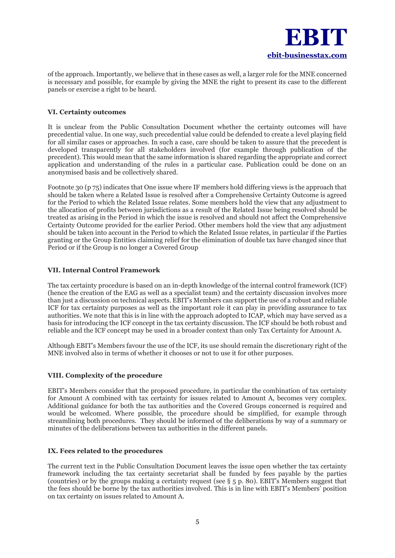

of the approach. Importantly, we believe that in these cases as well, a larger role for the MNE concerned is necessary and possible, for example by giving the MNE the right to present its case to the different panels or exercise a right to be heard.

## **VI. Certainty outcomes**

It is unclear from the Public Consultation Document whether the certainty outcomes will have precedential value. In one way, such precedential value could be defended to create a level playing field for all similar cases or approaches. In such a case, care should be taken to assure that the precedent is developed transparently for all stakeholders involved (for example through publication of the precedent). This would mean that the same information is shared regarding the appropriate and correct application and understanding of the rules in a particular case. Publication could be done on an anonymised basis and be collectively shared.

Footnote 30 (p 75) indicates that One issue where IF members hold differing views is the approach that should be taken where a Related Issue is resolved after a Comprehensive Certainty Outcome is agreed for the Period to which the Related Issue relates. Some members hold the view that any adjustment to the allocation of profits between jurisdictions as a result of the Related Issue being resolved should be treated as arising in the Period in which the issue is resolved and should not affect the Comprehensive Certainty Outcome provided for the earlier Period. Other members hold the view that any adjustment should be taken into account in the Period to which the Related Issue relates, in particular if the Parties granting or the Group Entities claiming relief for the elimination of double tax have changed since that Period or if the Group is no longer a Covered Group

## **VII. Internal Control Framework**

The tax certainty procedure is based on an in-depth knowledge of the internal control framework (ICF) (hence the creation of the EAG as well as a specialist team) and the certainty discussion involves more than just a discussion on technical aspects. EBIT's Members can support the use of a robust and reliable ICF for tax certainty purposes as well as the important role it can play in providing assurance to tax authorities. We note that this is in line with the approach adopted to ICAP, which may have served as a basis for introducing the ICF concept in the tax certainty discussion. The ICF should be both robust and reliable and the ICF concept may be used in a broader context than only Tax Certainty for Amount A.

Although EBIT's Members favour the use of the ICF, its use should remain the discretionary right of the MNE involved also in terms of whether it chooses or not to use it for other purposes.

# **VIII. Complexity of the procedure**

EBIT's Members consider that the proposed procedure, in particular the combination of tax certainty for Amount A combined with tax certainty for issues related to Amount A, becomes very complex. Additional guidance for both the tax authorities and the Covered Groups concerned is required and would be welcomed. Where possible, the procedure should be simplified, for example through streamlining both procedures. They should be informed of the deliberations by way of a summary or minutes of the deliberations between tax authorities in the different panels.

### **IX. Fees related to the procedures**

The current text in the Public Consultation Document leaves the issue open whether the tax certainty framework including the tax certainty secretariat shall be funded by fees payable by the parties (countries) or by the groups making a certainty request (see § 5 p. 80). EBIT's Members suggest that the fees should be borne by the tax authorities involved. This is in line with EBIT's Members' position on tax certainty on issues related to Amount A.